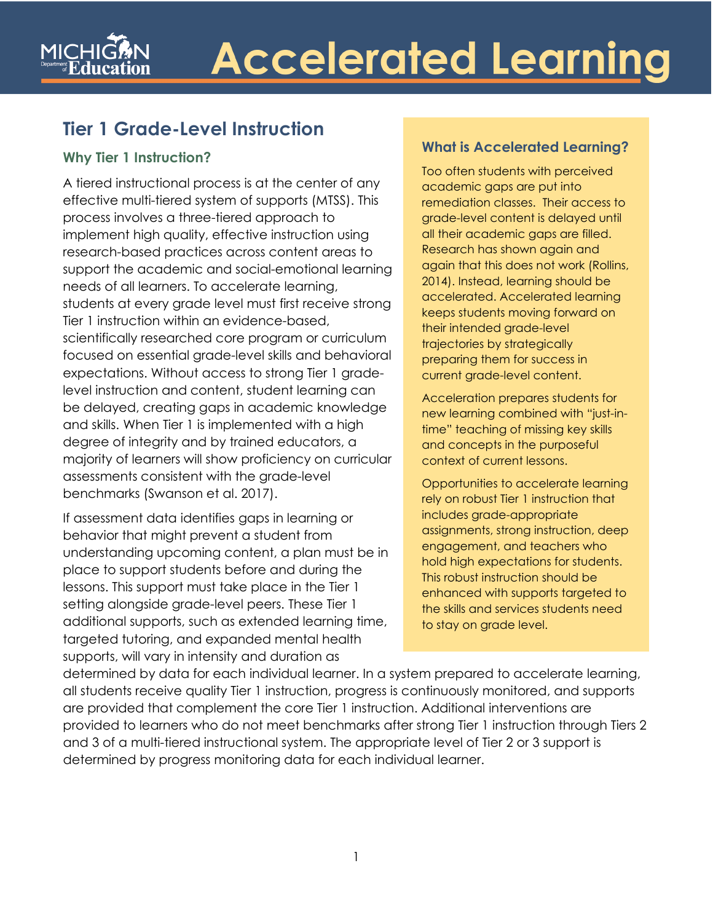# **Tier 1 Grade-Level Instruction**

# **Why Tier 1 Instruction?**

A tiered instructional process is at the center of any effective multi-tiered system of supports (MTSS). This process involves a three-tiered approach to implement high quality, effective instruction using research-based practices across content areas to support the academic and social-emotional learning needs of all learners. To accelerate learning, students at every grade level must first receive strong Tier 1 instruction within an evidence-based, scientifically researched core program or curriculum focused on essential grade-level skills and behavioral expectations. Without access to strong Tier 1 gradelevel instruction and content, student learning can be delayed, creating gaps in academic knowledge and skills. When Tier 1 is implemented with a high degree of integrity and by trained educators, a majority of learners will show proficiency on curricular assessments consistent with the grade-level benchmarks (Swanson et al. 2017).

If assessment data identifies gaps in learning or behavior that might prevent a student from understanding upcoming content, a plan must be in place to support students before and during the lessons. This support must take place in the Tier 1 setting alongside grade-level peers. These Tier 1 additional supports, such as extended learning time, targeted tutoring, and expanded mental health supports, will vary in intensity and duration as

# **What is Accelerated Learning?**

Too often students with perceived academic gaps are put into remediation classes. Their access to grade-level content is delayed until all their academic gaps are filled. Research has shown again and again that this does not work (Rollins, 2014). Instead, learning should be accelerated. Accelerated learning keeps students moving forward on their intended grade-level trajectories by strategically preparing them for success in current grade-level content.

Acceleration prepares students for new learning combined with "just-intime" teaching of missing key skills and concepts in the purposeful context of current lessons.

Opportunities to accelerate learning rely on robust Tier 1 instruction that includes grade-appropriate assignments, strong instruction, deep engagement, and teachers who hold high expectations for students. This robust instruction should be enhanced with supports targeted to the skills and services students need to stay on grade level.

determined by data for each individual learner. In a system prepared to accelerate learning, all students receive quality Tier 1 instruction, progress is continuously monitored, and supports are provided that complement the core Tier 1 instruction. Additional interventions are provided to learners who do not meet benchmarks after strong Tier 1 instruction through Tiers 2 and 3 of a multi-tiered instructional system. The appropriate level of Tier 2 or 3 support is determined by progress monitoring data for each individual learner.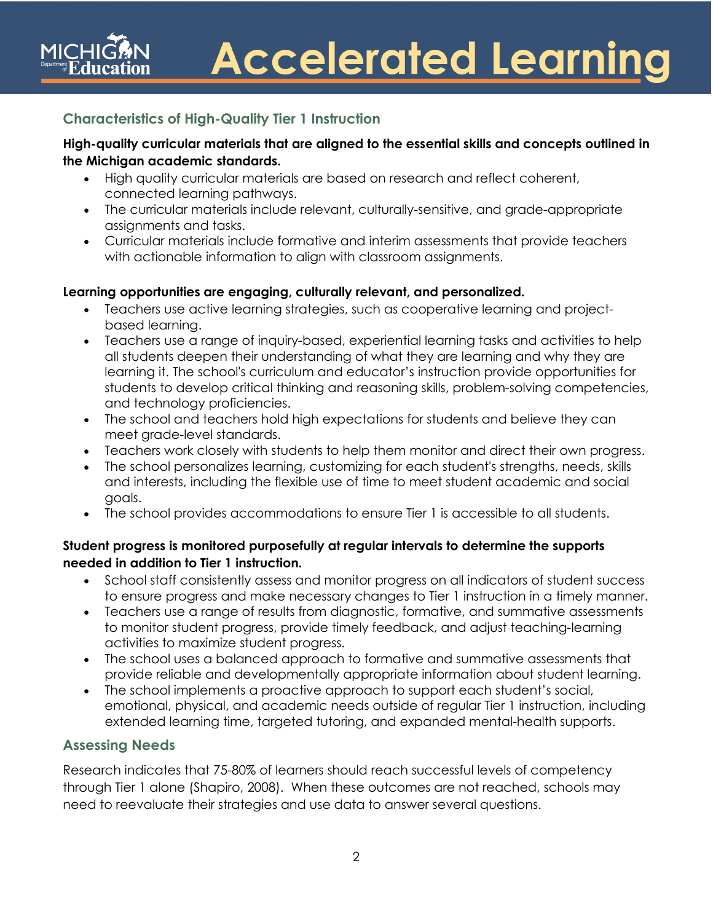## **Characteristics of High-Quality Tier 1 Instruction**

#### **High-quality curricular materials that are aligned to the essential skills and concepts outlined in the Michigan academic standards.**

- High quality curricular materials are based on research and reflect coherent, connected learning pathways.
- The curricular materials include relevant, culturally-sensitive, and grade-appropriate assignments and tasks.
- Curricular materials include formative and interim assessments that provide teachers with actionable information to align with classroom assignments.

#### **Learning opportunities are engaging, culturally relevant, and personalized.**

- Teachers use active learning strategies, such as cooperative learning and projectbased learning.
- Teachers use a range of inquiry-based, experiential learning tasks and activities to help all students deepen their understanding of what they are learning and why they are learning it. The school's curriculum and educator's instruction provide opportunities for students to develop critical thinking and reasoning skills, problem-solving competencies, and technology proficiencies.
- The school and teachers hold high expectations for students and believe they can meet grade-level standards.
- Teachers work closely with students to help them monitor and direct their own progress.
- The school personalizes learning, customizing for each student's strengths, needs, skills and interests, including the flexible use of time to meet student academic and social goals.
- The school provides accommodations to ensure Tier 1 is accessible to all students.

### **Student progress is monitored purposefully at regular intervals to determine the supports needed in addition to Tier 1 instruction.**

- School staff consistently assess and monitor progress on all indicators of student success to ensure progress and make necessary changes to Tier 1 instruction in a timely manner.
- Teachers use a range of results from diagnostic, formative, and summative assessments to monitor student progress, provide timely feedback, and adjust teaching-learning activities to maximize student progress.
- The school uses a balanced approach to formative and summative assessments that provide reliable and developmentally appropriate information about student learning.
- The school implements a proactive approach to support each student's social, emotional, physical, and academic needs outside of regular Tier 1 instruction, including extended learning time, targeted tutoring, and expanded mental-health supports.

### **Assessing Needs**

Research indicates that 75-80% of learners should reach successful levels of competency through Tier 1 alone (Shapiro, 2008). When these outcomes are not reached, schools may need to reevaluate their strategies and use data to answer several questions.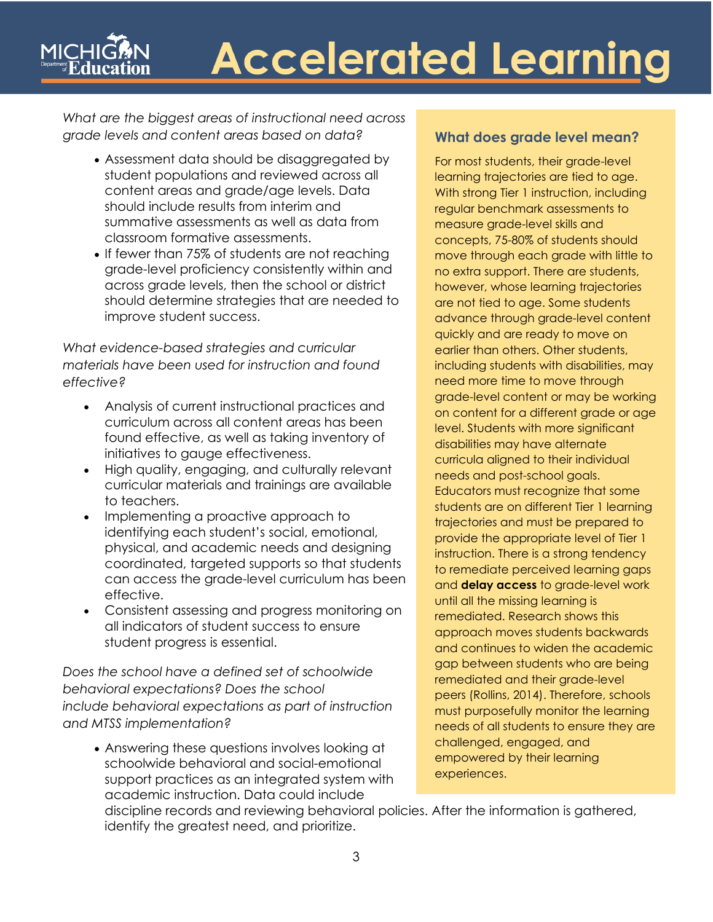*What are the biggest areas of instructional need across grade levels and content areas based on data?*

- Assessment data should be disaggregated by student populations and reviewed across all content areas and grade/age levels. Data should include results from interim and summative assessments as well as data from classroom formative assessments.
- If fewer than 75% of students are not reaching grade-level proficiency consistently within and across grade levels, then the school or district should determine strategies that are needed to improve student success.

*What evidence-based strategies and curricular materials have been used for instruction and found effective?* 

- Analysis of current instructional practices and curriculum across all content areas has been found effective, as well as taking inventory of initiatives to gauge effectiveness.
- High quality, engaging, and culturally relevant curricular materials and trainings are available to teachers.
- Implementing a proactive approach to identifying each student's social, emotional, physical, and academic needs and designing coordinated, targeted supports so that students can access the grade-level curriculum has been effective.
- Consistent assessing and progress monitoring on all indicators of student success to ensure student progress is essential.

*Does the school have a defined set of schoolwide behavioral expectations? Does the school include behavioral expectations as part of instruction and MTSS implementation?*

• Answering these questions involves looking at schoolwide behavioral and social-emotional support practices as an integrated system with academic instruction. Data could include

# **What does grade level mean?**

For most students, their grade-level learning trajectories are tied to age. With strong Tier 1 instruction, including regular benchmark assessments to measure grade-level skills and concepts, 75-80% of students should move through each grade with little to no extra support. There are students, however, whose learning trajectories are not tied to age. Some students advance through grade-level content quickly and are ready to move on earlier than others. Other students, including students with disabilities, may need more time to move through grade-level content or may be working on content for a different grade or age level. Students with more significant disabilities may have alternate curricula aligned to their individual needs and post-school goals. Educators must recognize that some students are on different Tier 1 learning trajectories and must be prepared to provide the appropriate level of Tier 1 instruction. There is a strong tendency to remediate perceived learning gaps and **delay access** to grade-level work until all the missing learning is remediated. Research shows this approach moves students backwards and continues to widen the academic gap between students who are being remediated and their grade-level peers (Rollins, 2014). Therefore, schools must purposefully monitor the learning needs of all students to ensure they are challenged, engaged, and empowered by their learning experiences.

discipline records and reviewing behavioral policies. After the information is gathered, identify the greatest need, and prioritize.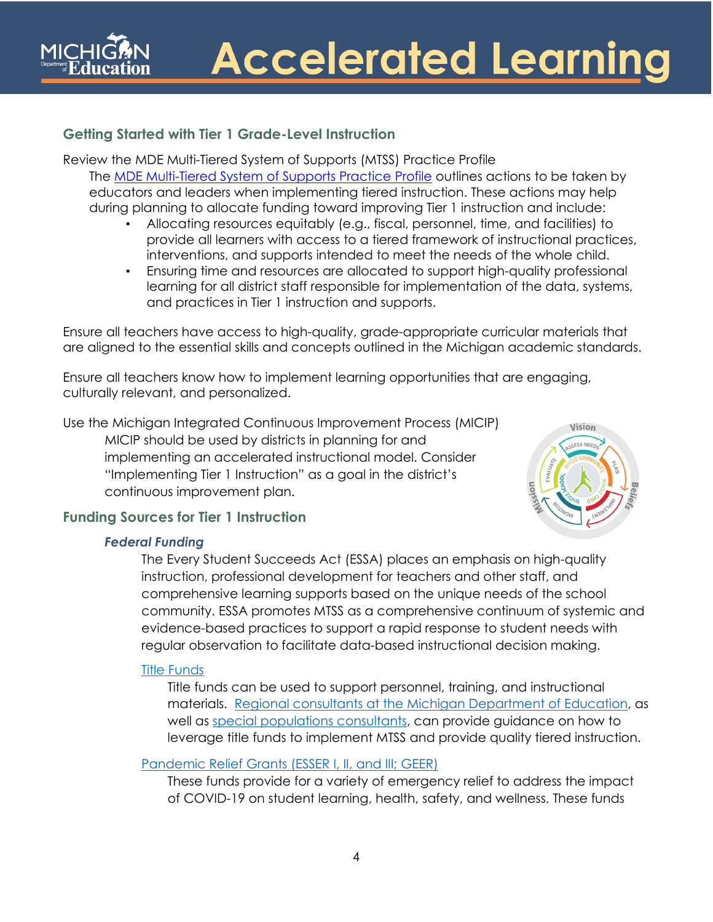# **Getting Started with Tier 1 Grade-Level Instruction**

Review the MDE Multi-Tiered System of Supports (MTSS) Practice Profile The [MDE Multi-Tiered System of Supports Practice Profile](https://www.michigan.gov/documents/mde/MDE_MTSS_Practice_Profile_5.0July2020_ADA_700696_7.pdf) outlines actions to be taken by educators and leaders when implementing tiered instruction. These actions may help during planning to allocate funding toward improving Tier 1 instruction and include:

- Allocating resources equitably (e.g., fiscal, personnel, time, and facilities) to provide all learners with access to a tiered framework of instructional practices, interventions, and supports intended to meet the needs of the whole child.
- Ensuring time and resources are allocated to support high-quality professional learning for all district staff responsible for implementation of the data, systems, and practices in Tier 1 instruction and supports.

Ensure all teachers have access to high-quality, grade-appropriate curricular materials that are aligned to the essential skills and concepts outlined in the Michigan academic standards.

Ensure all teachers know how to implement learning opportunities that are engaging, culturally relevant, and personalized.

Use the Michigan Integrated Continuous Improvement Process (MICIP)

MICIP should be used by districts in planning for and implementing an accelerated instructional model. Consider "Implementing Tier 1 Instruction" as a goal in the district's continuous improvement plan.



# **Funding Sources for Tier 1 Instruction**

### *Federal Funding*

The Every Student Succeeds Act (ESSA) places an emphasis on high-quality instruction, professional development for teachers and other staff, and comprehensive learning supports based on the unique needs of the school community. ESSA promotes MTSS as a comprehensive continuum of systemic and evidence-based practices to support a rapid response to student needs with regular observation to facilitate data-based instructional decision making.

### [Title Funds](https://www.michigan.gov/mde/0,4615,7-140-81376_51051---,00.html)

Title funds can be used to support personnel, training, and instructional materials. [Regional consultants at the Michigan Department of Education,](https://www.michigan.gov/documents/mde/OFS_Consultant_Map_-_July_29_2011_359492_7.pdf) as well as [special populations consultants,](https://www.michigan.gov/mde/0,4615,7-140-81376_51051---,00.html) can provide guidance on how to leverage title funds to implement MTSS and provide quality tiered instruction.

### [Pandemic Relief](https://www.michigan.gov/mde/0,4615,7-140-5236-528117--,00.html) Grants (ESSER I, II, and III; GEER)

These funds provide for a variety of emergency relief to address the impact of COVID-19 on student learning, health, safety, and wellness. These funds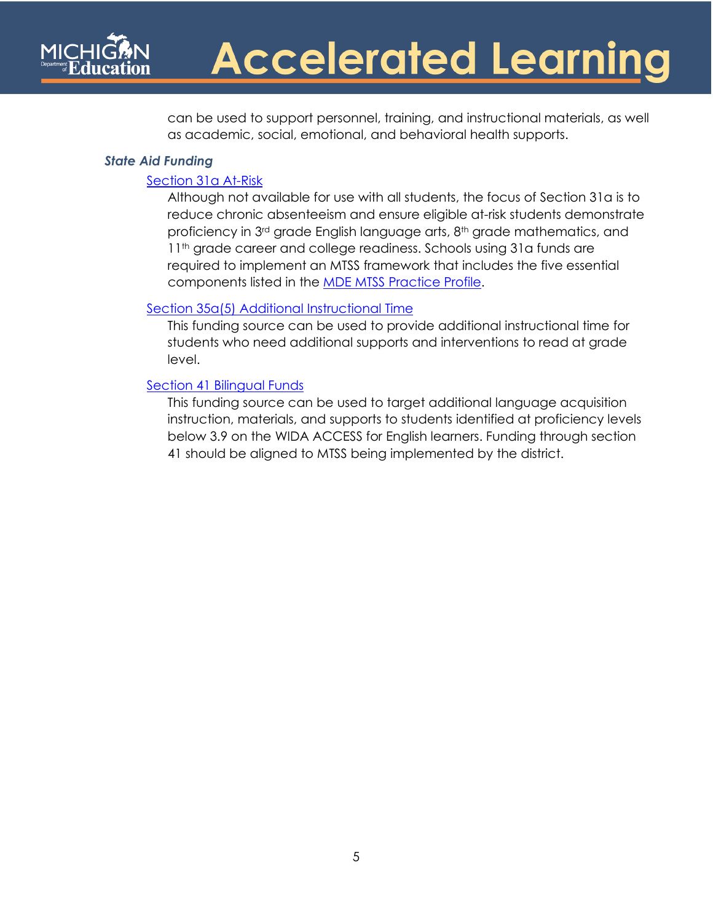

can be used to support personnel, training, and instructional materials, as well as academic, social, emotional, and behavioral health supports.

#### *State Aid Funding*

#### [Section 31a At-Risk](https://www.michigan.gov/mde/0,4615,7-140-81376_51051-43638--,00.html)

Although not available for use with all students, the focus of Section 31a is to reduce chronic absenteeism and ensure eligible at-risk students demonstrate proficiency in 3rd grade English language arts, 8th grade mathematics, and 11<sup>th</sup> grade career and college readiness. Schools using 31a funds are required to implement an MTSS framework that includes the five essential components listed in the [MDE MTSS Practice Profile.](https://www.michigan.gov/documents/mde/MDE_MTSS_Practice_Profile_5.0July2020_ADA_700696_7.pdf)

#### [Section 35a\(5\) Additional Instructional Time](https://www.michigan.gov/mde/0,4615,7-140-28753_74161-367703--,00.html)

This funding source can be used to provide additional instructional time for students who need additional supports and interventions to read at grade level.

#### [Section 41 Bilingual Funds](https://www.michigan.gov/documents/mde/EL_Specific_Funding_Sources_Guidance_665234_7.docx)

This funding source can be used to target additional language acquisition instruction, materials, and supports to students identified at proficiency levels below 3.9 on the WIDA ACCESS for English learners. Funding through section 41 should be aligned to MTSS being implemented by the district.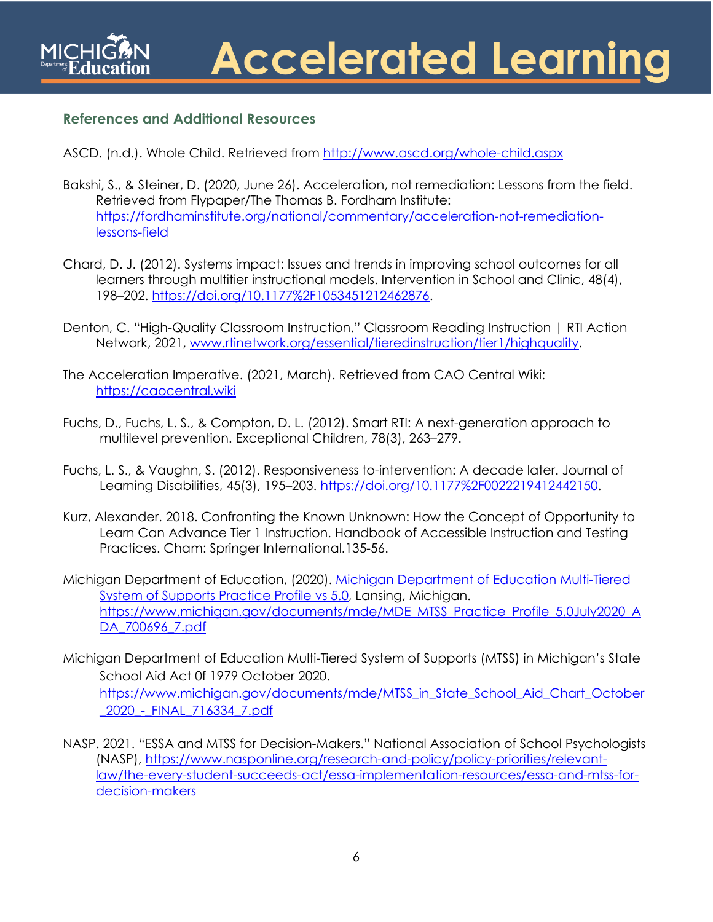### **References and Additional Resources**

ASCD. (n.d.). Whole Child. Retrieved from<http://www.ascd.org/whole-child.aspx>

- Bakshi, S., & Steiner, D. (2020, June 26). Acceleration, not remediation: Lessons from the field. Retrieved from Flypaper/The Thomas B. Fordham Institute: [https://fordhaminstitute.org/national/commentary/acceleration-not-remediation](https://fordhaminstitute.org/national/commentary/acceleration-not-remediation-lessons-field)[lessons-field](https://fordhaminstitute.org/national/commentary/acceleration-not-remediation-lessons-field)
- Chard, D. J. (2012). Systems impact: Issues and trends in improving school outcomes for all learners through multitier instructional models. Intervention in School and Clinic, 48(4), 198–202. [https://doi.org/10.1177%2F1053451212462876.](https://doi.org/10.1177%2F1053451212462876)
- Denton, C. "High-Quality Classroom Instruction." Classroom Reading Instruction | RTI Action Network, 2021, [www.rtinetwork.org/essential/tieredinstruction/tier1/highquality.](http://www.rtinetwork.org/essential/tieredinstruction/tier1/highquality)
- The Acceleration Imperative. (2021, March). Retrieved from CAO Central Wiki: [https://caocentral.wiki](https://caocentral.wiki/)
- Fuchs, D., Fuchs, L. S., & Compton, D. L. (2012). Smart RTI: A next-generation approach to multilevel prevention. Exceptional Children, 78(3), 263–279.
- Fuchs, L. S., & Vaughn, S. (2012). Responsiveness to-intervention: A decade later. Journal of Learning Disabilities, 45(3), 195-203. [https://doi.org/10.1177%2F0022219412442150.](https://doi.org/10.1177%2F0022219412442150)
- Kurz, Alexander. 2018. Confronting the Known Unknown: How the Concept of Opportunity to Learn Can Advance Tier 1 Instruction. Handbook of Accessible Instruction and Testing Practices. Cham: Springer International.135-56.
- Michigan Department of Education, (2020). [Michigan Department of Education Multi-Tiered](https://www.michigan.gov/documents/mde/MDE_MTSS_Practice_Profile_5.0July2020_ADA_700696_7.pdf)  [System of Supports Practice Profile vs 5.0,](https://www.michigan.gov/documents/mde/MDE_MTSS_Practice_Profile_5.0July2020_ADA_700696_7.pdf) Lansing, Michigan. [https://www.michigan.gov/documents/mde/MDE\\_MTSS\\_Practice\\_Profile\\_5.0July2020\\_A](https://www.michigan.gov/documents/mde/MDE_MTSS_Practice_Profile_5.0July2020_ADA_700696_7.pdf) DA 700696 7.pdf
- Michigan Department of Education Multi-Tiered System of Supports (MTSS) in Michigan's State School Aid Act 0f 1979 October 2020.

[https://www.michigan.gov/documents/mde/MTSS\\_in\\_State\\_School\\_Aid\\_Chart\\_October](https://www.michigan.gov/documents/mde/MTSS_in_State_School_Aid_Chart_October_2020_-_FINAL_716334_7.pdf) [\\_2020\\_-\\_FINAL\\_716334\\_7.pdf](https://www.michigan.gov/documents/mde/MTSS_in_State_School_Aid_Chart_October_2020_-_FINAL_716334_7.pdf) 

NASP. 2021. "ESSA and MTSS for Decision-Makers." National Association of School Psychologists (NASP), [https://www.nasponline.org/research-and-policy/policy-priorities/relevant](https://www.nasponline.org/research-and-policy/policy-priorities/relevant-law/the-every-student-succeeds-act/essa-implementation-resources/essa-and-mtss-for-decision-makers)[law/the-every-student-succeeds-act/essa-implementation-resources/essa-and-mtss-for](https://www.nasponline.org/research-and-policy/policy-priorities/relevant-law/the-every-student-succeeds-act/essa-implementation-resources/essa-and-mtss-for-decision-makers)[decision-makers](https://www.nasponline.org/research-and-policy/policy-priorities/relevant-law/the-every-student-succeeds-act/essa-implementation-resources/essa-and-mtss-for-decision-makers)